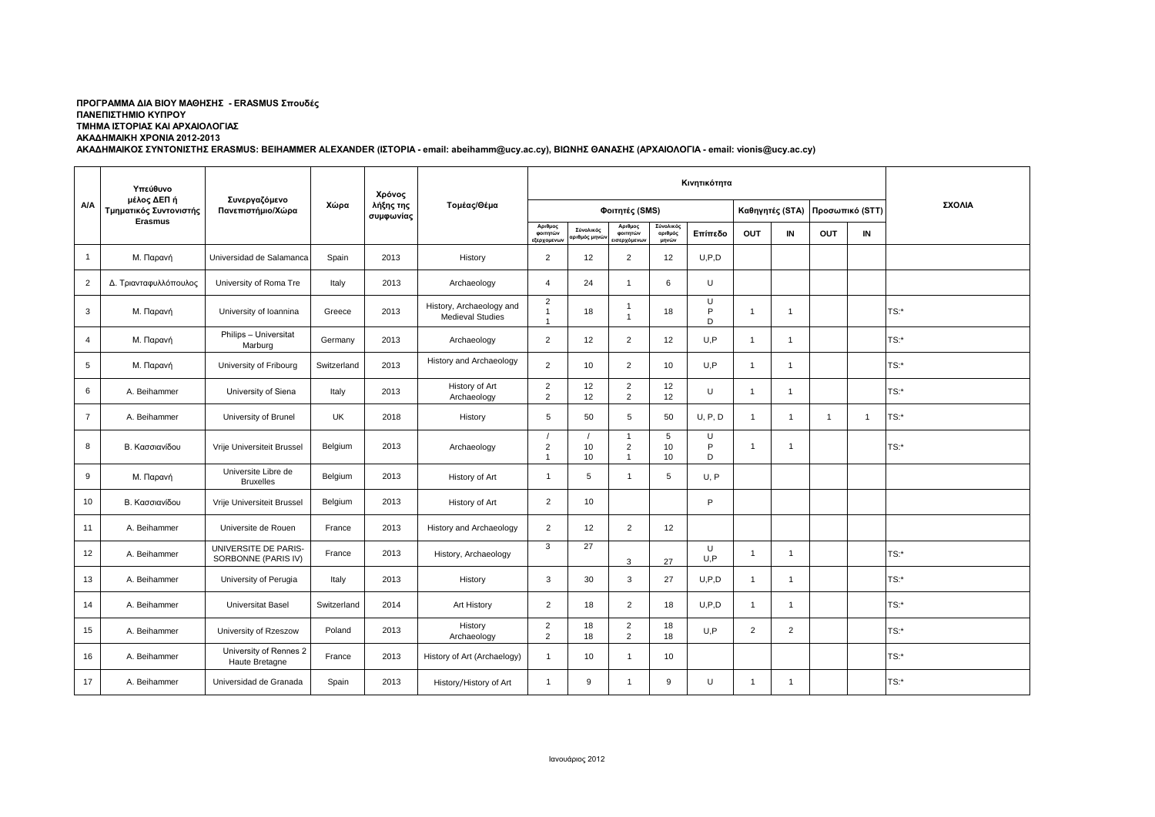## **ΠΡΟΓΡΑΜΜΑ ΔΙΑ ΒΙΟΥ ΜΑΘΗΣΗΣ - ERASMUS Σπουδές ΠΑΝΕΠΙΣΤΗΜΙΟ ΚΥΠΡΟΥ ΤΜΗΜΑ ΙΣΤΟΡΙΑΣ ΚΑΙ ΑΡΧΑΙΟΛΟΓΙΑΣ ΑΚΑΔΗΜΑΙΚΗ ΧΡΟΝΙΑ 2012-2013**

**ΑΚΑΔΗΜΑΙΚΟΣ ΣΥΝΤΟΝΙΣΤΗΣ ERASMUS: BEIHAMMER ALEXANDER (ΙΣΤΟΡΙΑ - email: abeihamm@ucy.ac.cy), ΒΙΩΝΗΣ ΘΑΝΑΣΗΣ (ΑΡΧΑΙΟΛΟΓΙΑ - email: vionis@ucy.ac.cy)**

|                | Υπεύθυνο<br>μέλος ΔΕΠ ή<br>Τμηματικός Συντονιστής |                                             |             | Χρόνος                 | Τομέας/Θέμα                                         |                                                  |                          |                                     |                               |             |                |                 |                 |                |         |
|----------------|---------------------------------------------------|---------------------------------------------|-------------|------------------------|-----------------------------------------------------|--------------------------------------------------|--------------------------|-------------------------------------|-------------------------------|-------------|----------------|-----------------|-----------------|----------------|---------|
| A/A            |                                                   | Συνεργαζόμενο<br>Πανεπιστήμιο/Χώρα          | Χώρα        | λήξης της<br>συμφωνίας |                                                     | Φοιτητές (SMS)                                   |                          |                                     |                               |             |                | Καθηγητές (STA) | Προσωπικό (STT) |                | ΣΧΟΛΙΑ  |
|                | <b>Erasmus</b>                                    |                                             |             |                        |                                                     | Αριθμος<br>φοιτητών<br>εξερχομενων               | Σύνολικός<br>ριθμός μηνώ | Αριθμος<br>φοιτητών<br>εισερχόμενων | Σύνολικός<br>αριθμός<br>μηνών | Επίπεδο     | OUT            | IN              | <b>OUT</b>      | IN             |         |
| $\mathbf{1}$   | Μ. Παρανή                                         | Universidad de Salamanca                    | Spain       | 2013                   | History                                             | $\overline{2}$                                   | 12                       | $\overline{2}$                      | 12                            | U, P, D     |                |                 |                 |                |         |
| $\overline{2}$ | Δ. Τριανταφυλλόπουλος                             | University of Roma Tre                      | Italy       | 2013                   | Archaeology                                         | $\overline{4}$                                   | 24                       | $\overline{1}$                      | 6                             | U           |                |                 |                 |                |         |
| 3              | Μ. Παρανή                                         | University of Ioannina                      | Greece      | 2013                   | History, Archaeology and<br><b>Medieval Studies</b> | $\overline{2}$<br>$\mathbf{1}$<br>$\overline{1}$ | 18                       | -1                                  | 18                            | U<br>P<br>D | $\overline{1}$ | $\mathbf{1}$    |                 |                | $TS:$ * |
| 4              | Μ. Παρανή                                         | Philips - Universitat<br>Marburg            | Germany     | 2013                   | Archaeology                                         | $\overline{2}$                                   | 12                       | 2                                   | 12                            | U.P         | $\mathbf{1}$   | $\mathbf{1}$    |                 |                | $TS:$ * |
| 5              | Μ. Παρανή                                         | University of Fribourg                      | Switzerland | 2013                   | History and Archaeology                             | $\overline{2}$                                   | 10                       | $\overline{2}$                      | 10                            | U.P         | $\mathbf{1}$   | $\overline{1}$  |                 |                | TS:*    |
| 6              | A. Beihammer                                      | University of Siena                         | Italy       | 2013                   | History of Art<br>Archaeology                       | $\overline{2}$<br>$\overline{2}$                 | 12<br>12                 | $\overline{2}$<br>$\overline{2}$    | 12<br>12                      | U           | $\overline{1}$ | $\mathbf{1}$    |                 |                | $TS:$ * |
| $\overline{7}$ | A. Beihammer                                      | University of Brunel                        | UK          | 2018                   | History                                             | 5                                                | 50                       | 5                                   | 50                            | U, P, D     | $\mathbf{1}$   | $\overline{1}$  | $\overline{1}$  | $\overline{1}$ | $TS:$ * |
| 8              | Β. Κασσιανίδου                                    | Vrije Universiteit Brussel                  | Belgium     | 2013                   | Archaeology                                         | $\prime$<br>$\sqrt{2}$<br>$\overline{1}$         | 10<br>10                 | $\overline{c}$                      | 5<br>10<br>10                 | U<br>P<br>D | $\mathbf{1}$   | $\mathbf{1}$    |                 |                | $TS:$ * |
| 9              | Μ. Παρανή                                         | Universite Libre de<br><b>Bruxelles</b>     | Belgium     | 2013                   | History of Art                                      | $\mathbf{1}$                                     | 5                        | $\overline{1}$                      | 5                             | U, P        |                |                 |                 |                |         |
| 10             | Β. Κασσιανίδου                                    | Vrije Universiteit Brussel                  | Belgium     | 2013                   | History of Art                                      | $\overline{2}$                                   | 10                       |                                     |                               | P           |                |                 |                 |                |         |
| 11             | A. Beihammer                                      | Universite de Rouen                         | France      | 2013                   | History and Archaeology                             | $\overline{2}$                                   | 12                       | $\overline{2}$                      | 12                            |             |                |                 |                 |                |         |
| 12             | A. Beihammer                                      | UNIVERSITE DE PARIS-<br>SORBONNE (PARIS IV) | France      | 2013                   | History, Archaeology                                | 3                                                | 27                       | 3                                   | 27                            | U<br>U, P   | $\overline{1}$ | $\overline{1}$  |                 |                | $TS:$ * |
| 13             | A. Beihammer                                      | University of Perugia                       | Italy       | 2013                   | History                                             | 3                                                | 30                       | 3                                   | 27                            | U, P, D     | $\overline{1}$ | $\mathbf{1}$    |                 |                | $TS:$ * |
| 14             | A. Beihammer                                      | <b>Universitat Basel</b>                    | Switzerland | 2014                   | Art History                                         | $\overline{2}$                                   | 18                       | $\overline{2}$                      | 18                            | U, P, D     | $\mathbf{1}$   | $\mathbf{1}$    |                 |                | $TS:$ * |
| 15             | A. Beihammer                                      | University of Rzeszow                       | Poland      | 2013                   | History<br>Archaeology                              | $\overline{2}$<br>$\overline{2}$                 | 18<br>18                 | $\overline{2}$<br>$\overline{2}$    | 18<br>18                      | U, P        | $\overline{2}$ | $\overline{2}$  |                 |                | $TS:$ * |
| 16             | A. Beihammer                                      | University of Rennes 2<br>Haute Bretagne    | France      | 2013                   | History of Art (Archaelogy)                         | $\mathbf{1}$                                     | 10                       | $\overline{1}$                      | 10                            |             |                |                 |                 |                | TS:     |
| 17             | A. Beihammer                                      | Universidad de Granada                      | Spain       | 2013                   | History/History of Art                              | $\mathbf{1}$                                     | 9                        | $\mathbf{1}$                        | 9                             | U           | $\overline{1}$ | $\mathbf{1}$    |                 |                | $TS:$ * |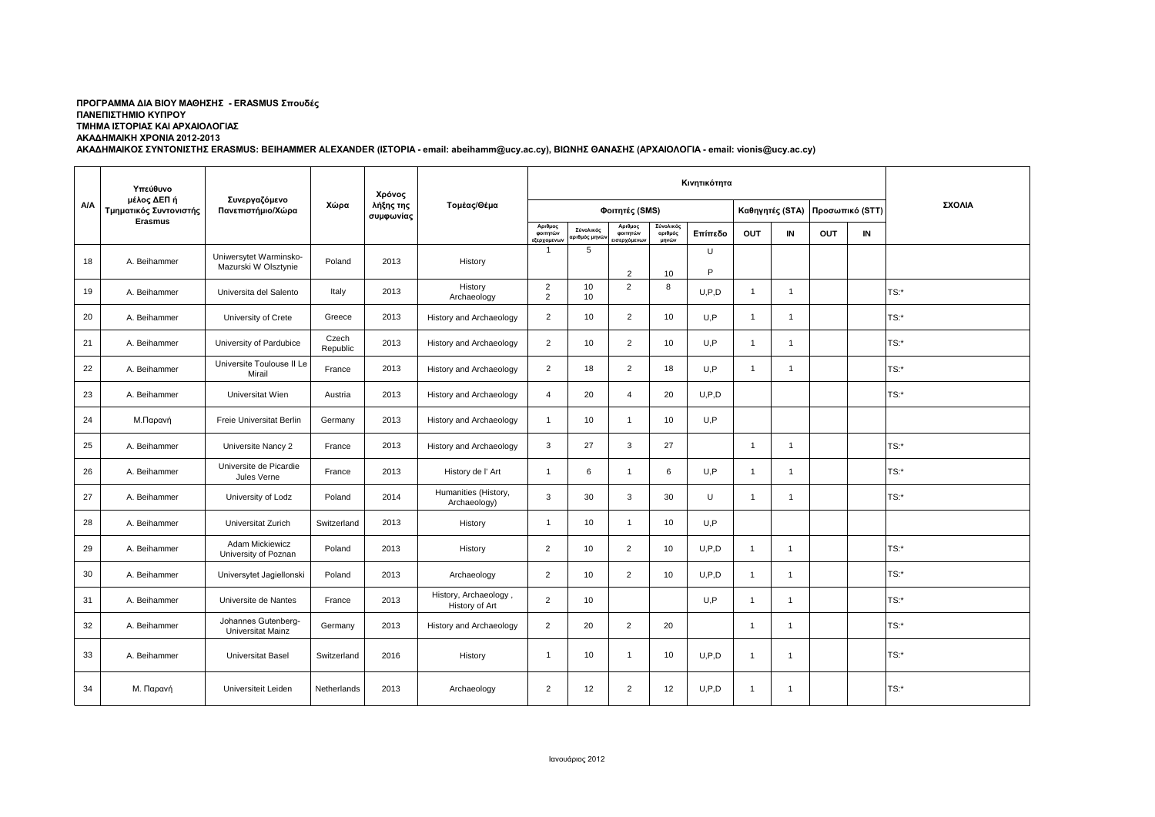## **ΠΡΟΓΡΑΜΜΑ ΔΙΑ ΒΙΟΥ ΜΑΘΗΣΗΣ - ERASMUS Σπουδές ΠΑΝΕΠΙΣΤΗΜΙΟ ΚΥΠΡΟΥ ΤΜΗΜΑ ΙΣΤΟΡΙΑΣ ΚΑΙ ΑΡΧΑΙΟΛΟΓΙΑΣ ΑΚΑΔΗΜΑΙΚΗ ΧΡΟΝΙΑ 2012-2013**

**ΑΚΑΔΗΜΑΙΚΟΣ ΣΥΝΤΟΝΙΣΤΗΣ ERASMUS: BEIHAMMER ALEXANDER (ΙΣΤΟΡΙΑ - email: abeihamm@ucy.ac.cy), ΒΙΩΝΗΣ ΘΑΝΑΣΗΣ (ΑΡΧΑΙΟΛΟΓΙΑ - email: vionis@ucy.ac.cy)**

|     | Υπεύθυνο<br>μέλος ΔΕΠ ή<br>Τμηματικός Συντονιστής<br><b>Erasmus</b> | Συνεργαζόμενο<br>Πανεπιστήμιο/Χώρα              |                   | Χρόνος                 |                                         |                                         |                                        |                                    | ΣΧΟΛΙΑ                        |         |                |                 |            |                 |         |
|-----|---------------------------------------------------------------------|-------------------------------------------------|-------------------|------------------------|-----------------------------------------|-----------------------------------------|----------------------------------------|------------------------------------|-------------------------------|---------|----------------|-----------------|------------|-----------------|---------|
| A/A |                                                                     |                                                 | Χώρα              | λήξης της<br>συμφωνίας | Τομέας/Θέμα                             | Φοιτητές (SMS)                          |                                        |                                    |                               |         |                | Καθηγητές (STA) |            | Προσωπικό (STT) |         |
|     |                                                                     |                                                 |                   |                        |                                         | Αριθμος<br>φοιτητών<br><b>ξερχομενω</b> | Σύνολικός<br>οιθμός μη <mark>νι</mark> | Αριθμος<br>φοιτητών<br>εισερχόμενω | Σύνολικός<br>αριθμός<br>μηνών | Επίπεδο | OUT            | IN              | <b>OUT</b> | IN              |         |
| 18  | A. Beihammer                                                        | Uniwersytet Warminsko-<br>Mazurski W Olsztynie  | Poland            | 2013                   | History                                 | $\mathbf{1}$                            | 5                                      | $\overline{2}$                     | 10                            | U<br>P  |                |                 |            |                 |         |
| 19  | A. Beihammer                                                        | Universita del Salento                          | Italy             | 2013                   | History<br>Archaeology                  | $\overline{2}$<br>$\overline{2}$        | 10<br>10                               | $\overline{2}$                     | 8                             | U.P.D   | $\mathbf{1}$   | $\overline{1}$  |            |                 | $TS:$ * |
| 20  | A. Beihammer                                                        | University of Crete                             | Greece            | 2013                   | History and Archaeology                 | $\overline{2}$                          | 10                                     | $\overline{2}$                     | 10                            | U.P     | $\overline{1}$ | $\mathbf{1}$    |            |                 | $TS:$ * |
| 21  | A. Beihammer                                                        | University of Pardubice                         | Czech<br>Republic | 2013                   | History and Archaeology                 | $\overline{2}$                          | 10                                     | $\overline{2}$                     | 10                            | U, P    | $\mathbf{1}$   | $\mathbf{1}$    |            |                 | TS:     |
| 22  | A. Beihammer                                                        | Universite Toulouse II Le<br>Mirail             | France            | 2013                   | History and Archaeology                 | $\overline{2}$                          | 18                                     | $\overline{2}$                     | 18                            | U,P     | $\overline{1}$ | $\mathbf{1}$    |            |                 | $TS:$ * |
| 23  | A. Beihammer                                                        | Universitat Wien                                | Austria           | 2013                   | <b>History and Archaeology</b>          | $\overline{4}$                          | 20                                     | $\overline{4}$                     | 20                            | U.P.D   |                |                 |            |                 | $TS:$ * |
| 24  | Μ.Παρανή                                                            | Freie Universitat Berlin                        | Germany           | 2013                   | History and Archaeology                 | $\mathbf{1}$                            | 10                                     | -1                                 | 10                            | U.P     |                |                 |            |                 |         |
| 25  | A. Beihammer                                                        | Universite Nancy 2                              | France            | 2013                   | History and Archaeology                 | 3                                       | 27                                     | 3                                  | 27                            |         | $\overline{1}$ | $\mathbf{1}$    |            |                 | $TS:$ * |
| 26  | A. Beihammer                                                        | Universite de Picardie<br>Jules Verne           | France            | 2013                   | History de l'Art                        | $\mathbf{1}$                            | 6                                      | $\mathbf{1}$                       | 6                             | U.P     | $\overline{1}$ | $\mathbf{1}$    |            |                 | TS:*    |
| 27  | A. Beihammer                                                        | University of Lodz                              | Poland            | 2014                   | Humanities (History,<br>Archaeology)    | 3                                       | 30                                     | 3                                  | 30                            | U       | $\mathbf{1}$   | $\mathbf{1}$    |            |                 | $TS:$ * |
| 28  | A. Beihammer                                                        | Universitat Zurich                              | Switzerland       | 2013                   | History                                 | $\mathbf{1}$                            | 10                                     | $\overline{1}$                     | 10                            | U.P     |                |                 |            |                 |         |
| 29  | A. Beihammer                                                        | Adam Mickiewicz<br>University of Poznan         | Poland            | 2013                   | History                                 | 2                                       | 10                                     | $\overline{2}$                     | 10                            | U.P.D   | $\overline{1}$ | $\overline{1}$  |            |                 | $TS:$ * |
| 30  | A. Beihammer                                                        | Universytet Jagiellonski                        | Poland            | 2013                   | Archaeology                             | $\overline{2}$                          | 10                                     | $\overline{2}$                     | 10                            | U.P.D   | $\mathbf{1}$   | $\overline{1}$  |            |                 | $TS:$ * |
| 31  | A. Beihammer                                                        | Universite de Nantes                            | France            | 2013                   | History, Archaeology,<br>History of Art | $\overline{2}$                          | 10                                     |                                    |                               | U,P     | $\mathbf{1}$   | $\mathbf{1}$    |            |                 | $TS:$ * |
| 32  | A. Beihammer                                                        | Johannes Gutenberg-<br><b>Universitat Mainz</b> | Germany           | 2013                   | History and Archaeology                 | $\overline{2}$                          | 20                                     | 2                                  | 20                            |         | $\mathbf{1}$   | $\mathbf{1}$    |            |                 | $TS:$ * |
| 33  | A. Beihammer                                                        | Universitat Basel                               | Switzerland       | 2016                   | History                                 | $\overline{1}$                          | 10                                     | $\mathbf{1}$                       | 10                            | U, P, D | $\mathbf{1}$   | $\mathbf{1}$    |            |                 | $TS:$ * |
| 34  | Μ. Παρανή                                                           | Universiteit Leiden                             | Netherlands       | 2013                   | Archaeology                             | $\overline{2}$                          | 12                                     | $\overline{2}$                     | 12                            | U, P, D | $\mathbf{1}$   | $\overline{1}$  |            |                 | TS:*    |